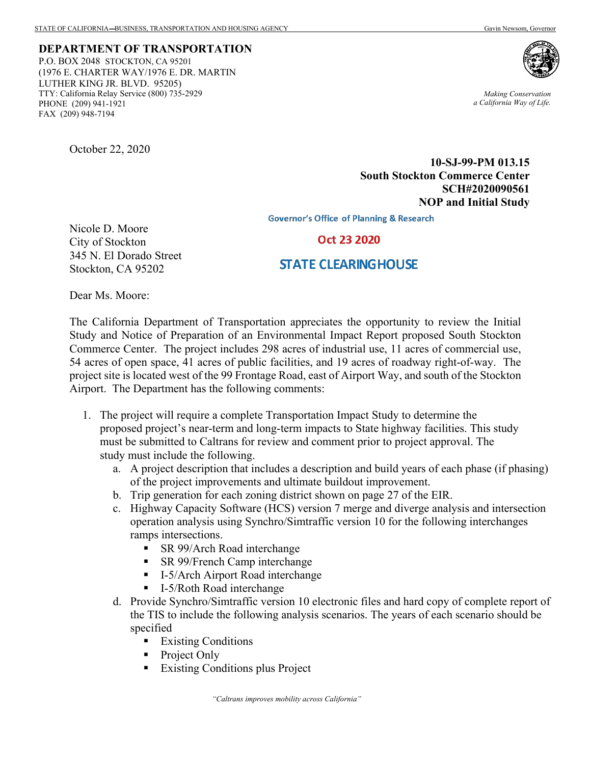**DEPARTMENT OF TRANSPORTATION** P.O. BOX 2048 STOCKTON, CA 95201 (1976 E. CHARTER WAY/1976 E. DR. MARTIN LUTHER KING JR. BLVD. 95205) TTY: California Relay Service (800) 735-2929 PHONE (209) 941-1921 FAX (209) 948-7194



*Making Conservation a California Way of Life.*

October 22, 2020

**10-SJ-99-PM 013.15 South Stockton Commerce Center SCH#2020090561 NOP and Initial Study**

**Governor's Office of Planning & Research** 

Nicole D. Moore City of Stockton 345 N. El Dorado Street Stockton, CA 95202

## Oct 23 2020

## **STATE CLEARING HOUSE**

Dear Ms. Moore:

The California Department of Transportation appreciates the opportunity to review the Initial Study and Notice of Preparation of an Environmental Impact Report proposed South Stockton Commerce Center. The project includes 298 acres of industrial use, 11 acres of commercial use, 54 acres of open space, 41 acres of public facilities, and 19 acres of roadway right-of-way. The project site is located west of the 99 Frontage Road, east of Airport Way, and south of the Stockton Airport. The Department has the following comments:

- 1. The project will require a complete Transportation Impact Study to determine the proposed project's near-term and long-term impacts to State highway facilities. This study must be submitted to Caltrans for review and comment prior to project approval. The study must include the following.
	- a. A project description that includes a description and build years of each phase (if phasing) of the project improvements and ultimate buildout improvement.
	- b. Trip generation for each zoning district shown on page 27 of the EIR.
	- c. Highway Capacity Software (HCS) version 7 merge and diverge analysis and intersection operation analysis using Synchro/Simtraffic version 10 for the following interchanges ramps intersections.
		- **SR 99/Arch Road interchange**
		- **SR 99/French Camp interchange**
		- I-5/Arch Airport Road interchange
		- I-5/Roth Road interchange
	- d. Provide Synchro/Simtraffic version 10 electronic files and hard copy of complete report of the TIS to include the following analysis scenarios. The years of each scenario should be specified
		- **Existing Conditions**
		- Project Only
		- **Existing Conditions plus Project**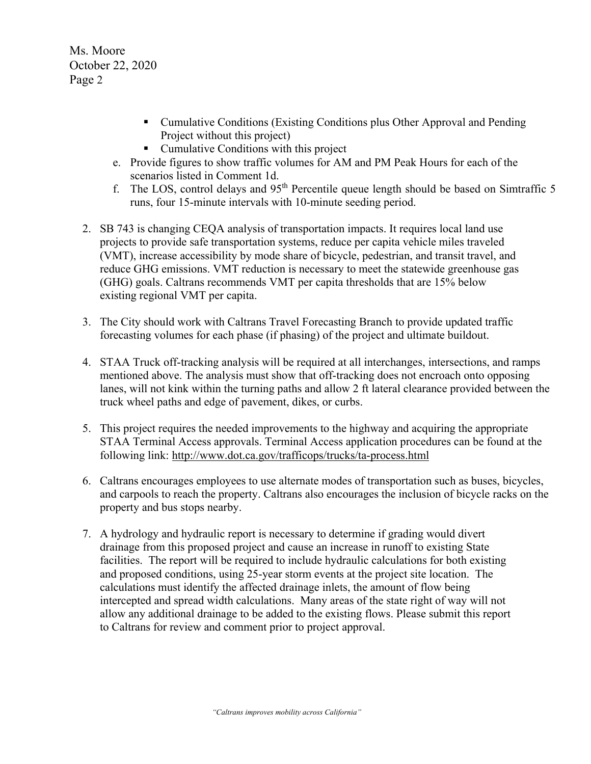Ms. Moore October 22, 2020 Page 2

- Cumulative Conditions (Existing Conditions plus Other Approval and Pending Project without this project)
- Cumulative Conditions with this project
- e. Provide figures to show traffic volumes for AM and PM Peak Hours for each of the scenarios listed in Comment 1d.
- f. The LOS, control delays and  $95<sup>th</sup>$  Percentile queue length should be based on Simtraffic 5 runs, four 15-minute intervals with 10-minute seeding period.
- 2. SB 743 is changing CEQA analysis of transportation impacts. It requires local land use projects to provide safe transportation systems, reduce per capita vehicle miles traveled (VMT), increase accessibility by mode share of bicycle, pedestrian, and transit travel, and reduce GHG emissions. VMT reduction is necessary to meet the statewide greenhouse gas (GHG) goals. Caltrans recommends VMT per capita thresholds that are 15% below existing regional VMT per capita.
- 3. The City should work with Caltrans Travel Forecasting Branch to provide updated traffic forecasting volumes for each phase (if phasing) of the project and ultimate buildout.
- 4. STAA Truck off-tracking analysis will be required at all interchanges, intersections, and ramps mentioned above. The analysis must show that off-tracking does not encroach onto opposing lanes, will not kink within the turning paths and allow 2 ft lateral clearance provided between the truck wheel paths and edge of pavement, dikes, or curbs.
- 5. This project requires the needed improvements to the highway and acquiring the appropriate STAA Terminal Access approvals. Terminal Access application procedures can be found at the following link:<http://www.dot.ca.gov/trafficops/trucks/ta-process.html>
- 6. Caltrans encourages employees to use alternate modes of transportation such as buses, bicycles, and carpools to reach the property. Caltrans also encourages the inclusion of bicycle racks on the property and bus stops nearby.
- 7. A hydrology and hydraulic report is necessary to determine if grading would divert drainage from this proposed project and cause an increase in runoff to existing State facilities. The report will be required to include hydraulic calculations for both existing and proposed conditions, using 25-year storm events at the project site location. The calculations must identify the affected drainage inlets, the amount of flow being intercepted and spread width calculations. Many areas of the state right of way will not allow any additional drainage to be added to the existing flows. Please submit this report to Caltrans for review and comment prior to project approval.